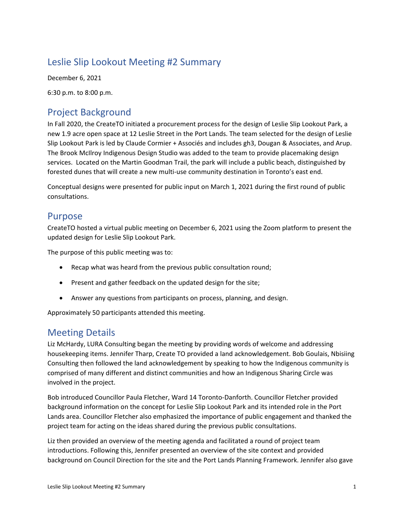# Leslie Slip Lookout Meeting #2 Summary

December 6, 2021

6:30 p.m. to 8:00 p.m.

# Project Background

In Fall 2020, the CreateTO initiated a procurement process for the design of Leslie Slip Lookout Park, a new 1.9 acre open space at 12 Leslie Street in the Port Lands. The team selected for the design of Leslie Slip Lookout Park is led by Claude Cormier + Associés and includes gh3, Dougan & Associates, and Arup. The Brook McIlroy Indigenous Design Studio was added to the team to provide placemaking design services. Located on the Martin Goodman Trail, the park will include a public beach, distinguished by forested dunes that will create a new multi-use community destination in Toronto's east end.

Conceptual designs were presented for public input on March 1, 2021 during the first round of public consultations.

# Purpose

CreateTO hosted a virtual public meeting on December 6, 2021 using the Zoom platform to present the updated design for Leslie Slip Lookout Park.

The purpose of this public meeting was to:

- Recap what was heard from the previous public consultation round;
- Present and gather feedback on the updated design for the site;
- Answer any questions from participants on process, planning, and design.

Approximately 50 participants attended this meeting.

# Meeting Details

Liz McHardy, LURA Consulting began the meeting by providing words of welcome and addressing housekeeping items. Jennifer Tharp, Create TO provided a land acknowledgement. Bob Goulais, Nbisiing Consulting then followed the land acknowledgement by speaking to how the Indigenous community is comprised of many different and distinct communities and how an Indigenous Sharing Circle was involved in the project.

Bob introduced Councillor Paula Fletcher, Ward 14 Toronto-Danforth. Councillor Fletcher provided background information on the concept for Leslie Slip Lookout Park and its intended role in the Port Lands area. Councillor Fletcher also emphasized the importance of public engagement and thanked the project team for acting on the ideas shared during the previous public consultations.

Liz then provided an overview of the meeting agenda and facilitated a round of project team introductions. Following this, Jennifer presented an overview of the site context and provided background on Council Direction for the site and the Port Lands Planning Framework. Jennifer also gave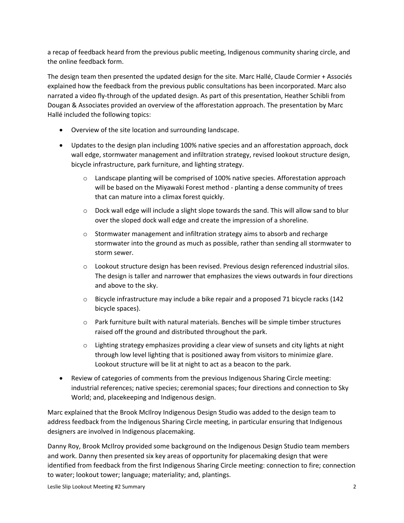a recap of feedback heard from the previous public meeting, Indigenous community sharing circle, and the online feedback form.

The design team then presented the updated design for the site. Marc Hallé, Claude Cormier + Associés explained how the feedback from the previous public consultations has been incorporated. Marc also narrated a video fly-through of the updated design. As part of this presentation, Heather Schibli from Dougan & Associates provided an overview of the afforestation approach. The presentation by Marc Hallé included the following topics:

- Overview of the site location and surrounding landscape.
- Updates to the design plan including 100% native species and an afforestation approach, dock wall edge, stormwater management and infiltration strategy, revised lookout structure design, bicycle infrastructure, park furniture, and lighting strategy.
	- o Landscape planting will be comprised of 100% native species. Afforestation approach will be based on the Miyawaki Forest method - planting a dense community of trees that can mature into a climax forest quickly.
	- $\circ$  Dock wall edge will include a slight slope towards the sand. This will allow sand to blur over the sloped dock wall edge and create the impression of a shoreline.
	- o Stormwater management and infiltration strategy aims to absorb and recharge stormwater into the ground as much as possible, rather than sending all stormwater to storm sewer.
	- o Lookout structure design has been revised. Previous design referenced industrial silos. The design is taller and narrower that emphasizes the views outwards in four directions and above to the sky.
	- $\circ$  Bicycle infrastructure may include a bike repair and a proposed 71 bicycle racks (142) bicycle spaces).
	- $\circ$  Park furniture built with natural materials. Benches will be simple timber structures raised off the ground and distributed throughout the park.
	- $\circ$  Lighting strategy emphasizes providing a clear view of sunsets and city lights at night through low level lighting that is positioned away from visitors to minimize glare. Lookout structure will be lit at night to act as a beacon to the park.
- Review of categories of comments from the previous Indigenous Sharing Circle meeting: industrial references; native species; ceremonial spaces; four directions and connection to Sky World; and, placekeeping and Indigenous design.

Marc explained that the Brook McIlroy Indigenous Design Studio was added to the design team to address feedback from the Indigenous Sharing Circle meeting, in particular ensuring that Indigenous designers are involved in Indigenous placemaking.

Danny Roy, Brook McIlroy provided some background on the Indigenous Design Studio team members and work. Danny then presented six key areas of opportunity for placemaking design that were identified from feedback from the first Indigenous Sharing Circle meeting: connection to fire; connection to water; lookout tower; language; materiality; and, plantings.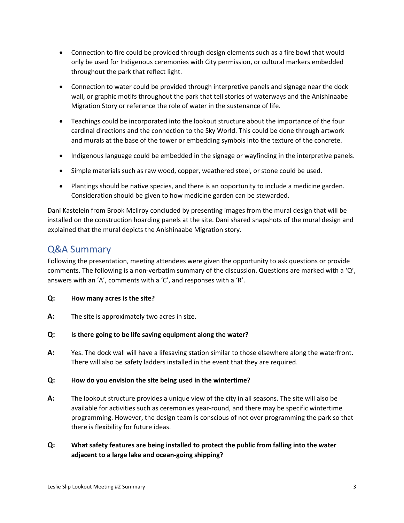- Connection to fire could be provided through design elements such as a fire bowl that would only be used for Indigenous ceremonies with City permission, or cultural markers embedded throughout the park that reflect light.
- Connection to water could be provided through interpretive panels and signage near the dock wall, or graphic motifs throughout the park that tell stories of waterways and the Anishinaabe Migration Story or reference the role of water in the sustenance of life.
- Teachings could be incorporated into the lookout structure about the importance of the four cardinal directions and the connection to the Sky World. This could be done through artwork and murals at the base of the tower or embedding symbols into the texture of the concrete.
- Indigenous language could be embedded in the signage or wayfinding in the interpretive panels.
- Simple materials such as raw wood, copper, weathered steel, or stone could be used.
- Plantings should be native species, and there is an opportunity to include a medicine garden. Consideration should be given to how medicine garden can be stewarded.

Dani Kastelein from Brook McIlroy concluded by presenting images from the mural design that will be installed on the construction hoarding panels at the site. Dani shared snapshots of the mural design and explained that the mural depicts the Anishinaabe Migration story.

# Q&A Summary

Following the presentation, meeting attendees were given the opportunity to ask questions or provide comments. The following is a non-verbatim summary of the discussion. Questions are marked with a 'Q', answers with an 'A', comments with a 'C', and responses with a 'R'.

### **Q: How many acres is the site?**

**A:** The site is approximately two acres in size.

### **Q: Is there going to be life saving equipment along the water?**

**A:** Yes. The dock wall will have a lifesaving station similar to those elsewhere along the waterfront. There will also be safety ladders installed in the event that they are required.

### **Q: How do you envision the site being used in the wintertime?**

- **A:** The lookout structure provides a unique view of the city in all seasons. The site will also be available for activities such as ceremonies year-round, and there may be specific wintertime programming. However, the design team is conscious of not over programming the park so that there is flexibility for future ideas.
- **Q: What safety features are being installed to protect the public from falling into the water adjacent to a large lake and ocean-going shipping?**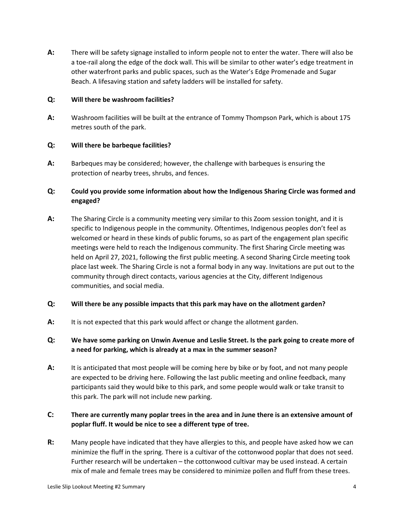**A:** There will be safety signage installed to inform people not to enter the water. There will also be a toe-rail along the edge of the dock wall. This will be similar to other water's edge treatment in other waterfront parks and public spaces, such as the Water's Edge Promenade and Sugar Beach. A lifesaving station and safety ladders will be installed for safety.

### **Q: Will there be washroom facilities?**

**A:** Washroom facilities will be built at the entrance of Tommy Thompson Park, which is about 175 metres south of the park.

## **Q: Will there be barbeque facilities?**

**A:** Barbeques may be considered; however, the challenge with barbeques is ensuring the protection of nearby trees, shrubs, and fences.

# **Q: Could you provide some information about how the Indigenous Sharing Circle was formed and engaged?**

**A:** The Sharing Circle is a community meeting very similar to this Zoom session tonight, and it is specific to Indigenous people in the community. Oftentimes, Indigenous peoples don't feel as welcomed or heard in these kinds of public forums, so as part of the engagement plan specific meetings were held to reach the Indigenous community. The first Sharing Circle meeting was held on April 27, 2021, following the first public meeting. A second Sharing Circle meeting took place last week. The Sharing Circle is not a formal body in any way. Invitations are put out to the community through direct contacts, various agencies at the City, different Indigenous communities, and social media.

## **Q: Will there be any possible impacts that this park may have on the allotment garden?**

- **A:** It is not expected that this park would affect or change the allotment garden.
- **Q: We have some parking on Unwin Avenue and Leslie Street. Is the park going to create more of a need for parking, which is already at a max in the summer season?**
- **A:** It is anticipated that most people will be coming here by bike or by foot, and not many people are expected to be driving here. Following the last public meeting and online feedback, many participants said they would bike to this park, and some people would walk or take transit to this park. The park will not include new parking.

## **C: There are currently many poplar trees in the area and in June there is an extensive amount of poplar fluff. It would be nice to see a different type of tree.**

**R:** Many people have indicated that they have allergies to this, and people have asked how we can minimize the fluff in the spring. There is a cultivar of the cottonwood poplar that does not seed. Further research will be undertaken – the cottonwood cultivar may be used instead. A certain mix of male and female trees may be considered to minimize pollen and fluff from these trees.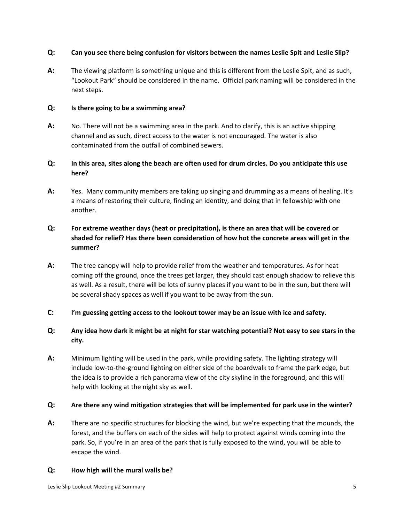### **Q: Can you see there being confusion for visitors between the names Leslie Spit and Leslie Slip?**

**A:** The viewing platform is something unique and this is different from the Leslie Spit, and as such, "Lookout Park" should be considered in the name. Official park naming will be considered in the next steps.

### **Q: Is there going to be a swimming area?**

**A:** No. There will not be a swimming area in the park. And to clarify, this is an active shipping channel and as such, direct access to the water is not encouraged. The water is also contaminated from the outfall of combined sewers.

# **Q: In this area, sites along the beach are often used for drum circles. Do you anticipate this use here?**

**A:** Yes. Many community members are taking up singing and drumming as a means of healing. It's a means of restoring their culture, finding an identity, and doing that in fellowship with one another.

# **Q: For extreme weather days (heat or precipitation), is there an area that will be covered or shaded for relief? Has there been consideration of how hot the concrete areas will get in the summer?**

- **A:** The tree canopy will help to provide relief from the weather and temperatures. As for heat coming off the ground, once the trees get larger, they should cast enough shadow to relieve this as well. As a result, there will be lots of sunny places if you want to be in the sun, but there will be several shady spaces as well if you want to be away from the sun.
- **C: I'm guessing getting access to the lookout tower may be an issue with ice and safety.**

# **Q: Any idea how dark it might be at night for star watching potential? Not easy to see stars in the city.**

**A:** Minimum lighting will be used in the park, while providing safety. The lighting strategy will include low-to-the-ground lighting on either side of the boardwalk to frame the park edge, but the idea is to provide a rich panorama view of the city skyline in the foreground, and this will help with looking at the night sky as well.

## **Q: Are there any wind mitigation strategies that will be implemented for park use in the winter?**

**A:** There are no specific structures for blocking the wind, but we're expecting that the mounds, the forest, and the buffers on each of the sides will help to protect against winds coming into the park. So, if you're in an area of the park that is fully exposed to the wind, you will be able to escape the wind.

### **Q: How high will the mural walls be?**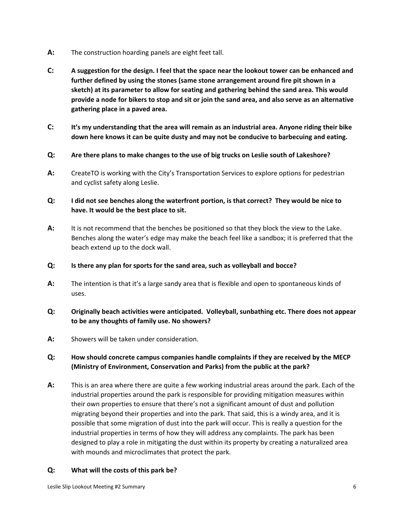- **A:** The construction hoarding panels are eight feet tall.
- **C: A suggestion for the design. I feel that the space near the lookout tower can be enhanced and further defined by using the stones (same stone arrangement around fire pit shown in a sketch) at its parameter to allow for seating and gathering behind the sand area. This would provide a node for bikers to stop and sit or join the sand area, and also serve as an alternative gathering place in a paved area.**
- **C: It's my understanding that the area will remain as an industrial area. Anyone riding their bike down here knows it can be quite dusty and may not be conducive to barbecuing and eating.**
- **Q: Are there plans to make changes to the use of big trucks on Leslie south of Lakeshore?**
- **A:** CreateTO is working with the City's Transportation Services to explore options for pedestrian and cyclist safety along Leslie.

# **Q: I did not see benches along the waterfront portion, is that correct? They would be nice to have. It would be the best place to sit.**

**A:** It is not recommend that the benches be positioned so that they block the view to the Lake. Benches along the water's edge may make the beach feel like a sandbox; it is preferred that the beach extend up to the dock wall.

### **Q: Is there any plan for sports for the sand area, such as volleyball and bocce?**

**A:** The intention is that it's a large sandy area that is flexible and open to spontaneous kinds of uses.

## **Q: Originally beach activities were anticipated. Volleyball, sunbathing etc. There does not appear to be any thoughts of family use. No showers?**

**A:** Showers will be taken under consideration.

# **Q: How should concrete campus companies handle complaints if they are received by the MECP (Ministry of Environment, Conservation and Parks) from the public at the park?**

**A:** This is an area where there are quite a few working industrial areas around the park. Each of the industrial properties around the park is responsible for providing mitigation measures within their own properties to ensure that there's not a significant amount of dust and pollution migrating beyond their properties and into the park. That said, this is a windy area, and it is possible that some migration of dust into the park will occur. This is really a question for the industrial properties in terms of how they will address any complaints. The park has been designed to play a role in mitigating the dust within its property by creating a naturalized area with mounds and microclimates that protect the park.

### **Q: What will the costs of this park be?**